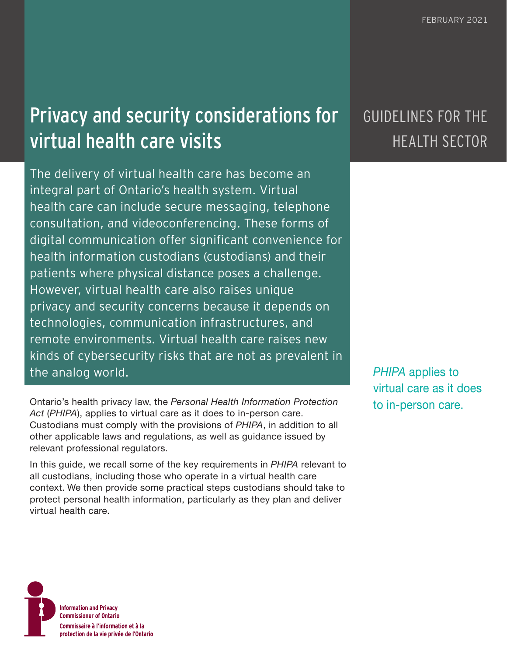# Privacy and security considerations for virtual health care visits

The delivery of virtual health care has become an integral part of Ontario's health system. Virtual health care can include secure messaging, telephone consultation, and videoconferencing. These forms of digital communication offer significant convenience for health information custodians (custodians) and their patients where physical distance poses a challenge. However, virtual health care also raises unique privacy and security concerns because it depends on technologies, communication infrastructures, and remote environments. Virtual health care raises new kinds of cybersecurity risks that are not as prevalent in the analog world.

Ontario's health privacy law, the *Personal Health Information Protection* **business** to in-person care. *Act* (*PHIPA*), applies to virtual care as it does to in-person care. Custodians must comply with the provisions of *PHIPA*, in addition to all other applicable laws and regulations, as well as guidance issued by relevant professional regulators.

In this guide, we recall some of the key requirements in *PHIPA* relevant to all custodians, including those who operate in a virtual health care context. We then provide some practical steps custodians should take to protect personal health information, particularly as they plan and deliver virtual health care.

## GUIDELINES FOR THE HEALTH SECTOR

*PHIPA* applies to virtual care as it does

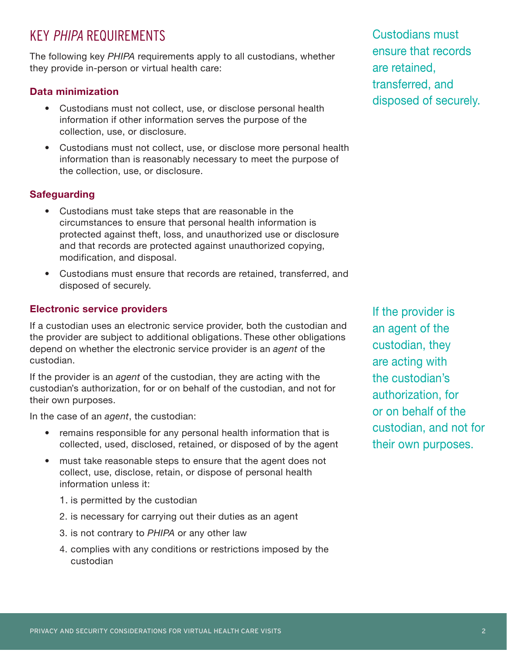## KEY PHIPA REQUIREMENTS

The following key *PHIPA* requirements apply to all custodians, whether they provide in-person or virtual health care:

#### **Data minimization**

- Custodians must not collect, use, or disclose personal health information if other information serves the purpose of the collection, use, or disclosure.
- Custodians must not collect, use, or disclose more personal health information than is reasonably necessary to meet the purpose of the collection, use, or disclosure.

#### **Safeguarding**

- Custodians must take steps that are reasonable in the circumstances to ensure that personal health information is protected against theft, loss, and unauthorized use or disclosure and that records are protected against unauthorized copying, modification, and disposal.
- Custodians must ensure that records are retained, transferred, and disposed of securely.

#### **Electronic service providers**

If a custodian uses an electronic service provider, both the custodian and the provider are subject to additional obligations. These other obligations depend on whether the electronic service provider is an *agent* of the custodian.

If the provider is an *agent* of the custodian, they are acting with the custodian's authorization, for or on behalf of the custodian, and not for their own purposes.

In the case of an *agent*, the custodian:

- remains responsible for any personal health information that is collected, used, disclosed, retained, or disposed of by the agent
- must take reasonable steps to ensure that the agent does not collect, use, disclose, retain, or dispose of personal health information unless it:
	- 1. is permitted by the custodian
	- 2. is necessary for carrying out their duties as an agent
	- 3. is not contrary to *PHIPA* or any other law
	- 4. complies with any conditions or restrictions imposed by the custodian

Custodians must ensure that records are retained, transferred, and disposed of securely.

If the provider is an agent of the custodian, they are acting with the custodian's authorization, for or on behalf of the custodian, and not for their own purposes.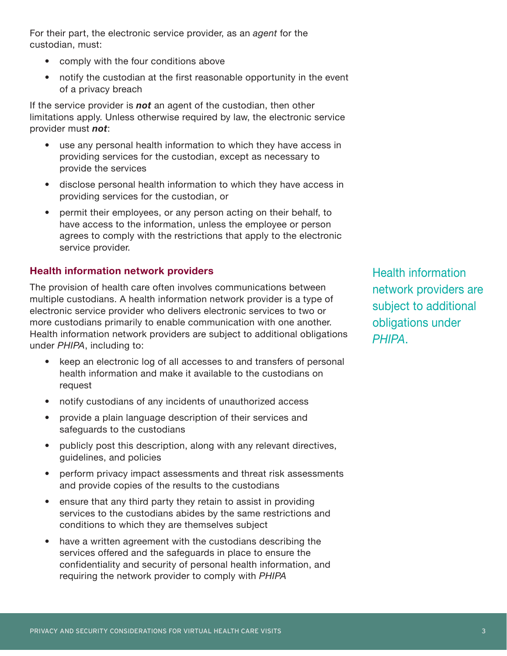For their part, the electronic service provider, as an *agent* for the custodian, must:

- comply with the four conditions above
- notify the custodian at the first reasonable opportunity in the event of a privacy breach

If the service provider is *not* an agent of the custodian, then other limitations apply. Unless otherwise required by law, the electronic service provider must *not*:

- use any personal health information to which they have access in providing services for the custodian, except as necessary to provide the services
- disclose personal health information to which they have access in providing services for the custodian, or
- permit their employees, or any person acting on their behalf, to have access to the information, unless the employee or person agrees to comply with the restrictions that apply to the electronic service provider.

#### **Health information network providers**

The provision of health care often involves communications between multiple custodians. A health information network provider is a type of electronic service provider who delivers electronic services to two or more custodians primarily to enable communication with one another. Health information network providers are subject to additional obligations under *PHIPA*, including to:

- keep an electronic log of all accesses to and transfers of personal health information and make it available to the custodians on request
- notify custodians of any incidents of unauthorized access
- provide a plain language description of their services and safeguards to the custodians
- publicly post this description, along with any relevant directives, guidelines, and policies
- perform privacy impact assessments and threat risk assessments and provide copies of the results to the custodians
- ensure that any third party they retain to assist in providing services to the custodians abides by the same restrictions and conditions to which they are themselves subject
- have a written agreement with the custodians describing the services offered and the safeguards in place to ensure the confidentiality and security of personal health information, and requiring the network provider to comply with *PHIPA*

Health information network providers are subject to additional obligations under *PHIPA*.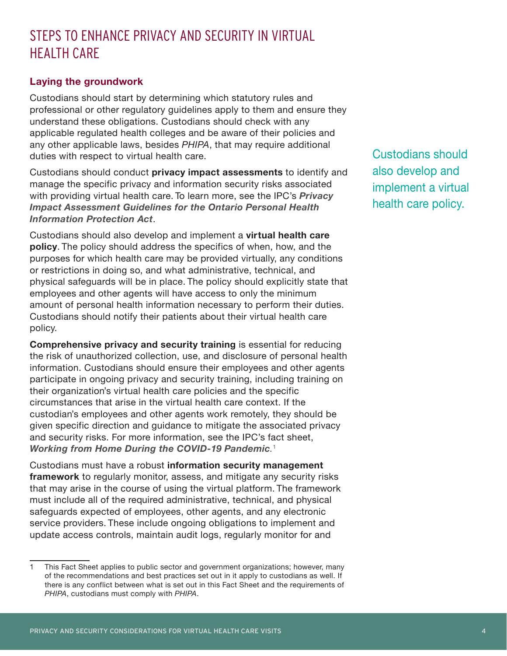## STEPS TO ENHANCE PRIVACY AND SECURITY IN VIRTUAL HEALTH CARE

#### **Laying the groundwork**

Custodians should start by determining which statutory rules and professional or other regulatory guidelines apply to them and ensure they understand these obligations. Custodians should check with any applicable regulated health colleges and be aware of their policies and any other applicable laws, besides *PHIPA*, that may require additional duties with respect to virtual health care.

Custodians should conduct **privacy impact assessments** to identify and manage the specific privacy and information security risks associated with providing virtual health care. To learn more, see the IPC's *[Privacy](https://www.ipc.on.ca/wp-content/uploads/Resources/phipa_pia-e.pdf)  [Impact Assessment Guidelines for the Ontario Personal Health](https://www.ipc.on.ca/wp-content/uploads/Resources/phipa_pia-e.pdf)  [Information Protection Act](https://www.ipc.on.ca/wp-content/uploads/Resources/phipa_pia-e.pdf)*.

Custodians should also develop and implement a **virtual health care policy**. The policy should address the specifics of when, how, and the purposes for which health care may be provided virtually, any conditions or restrictions in doing so, and what administrative, technical, and physical safeguards will be in place. The policy should explicitly state that employees and other agents will have access to only the minimum amount of personal health information necessary to perform their duties. Custodians should notify their patients about their virtual health care policy.

**Comprehensive privacy and security training** is essential for reducing the risk of unauthorized collection, use, and disclosure of personal health information. Custodians should ensure their employees and other agents participate in ongoing privacy and security training, including training on their organization's virtual health care policies and the specific circumstances that arise in the virtual health care context. If the custodian's employees and other agents work remotely, they should be given specific direction and guidance to mitigate the associated privacy and security risks. For more information, see the IPC's fact sheet, *[Working from Home During the COVID-19 Pandemic](https://www.ipc.on.ca/wp-content/uploads/2020/07/fs-privacy-work-from-home.pdf).* 1

Custodians must have a robust **information security management framework** to regularly monitor, assess, and mitigate any security risks that may arise in the course of using the virtual platform. The framework must include all of the required administrative, technical, and physical safeguards expected of employees, other agents, and any electronic service providers. These include ongoing obligations to implement and update access controls, maintain audit logs, regularly monitor for and

Custodians should also develop and implement a virtual health care policy.

<sup>1</sup> This Fact Sheet applies to public sector and government organizations; however, many of the recommendations and best practices set out in it apply to custodians as well. If there is any conflict between what is set out in this Fact Sheet and the requirements of *PHIPA*, custodians must comply with *PHIPA*.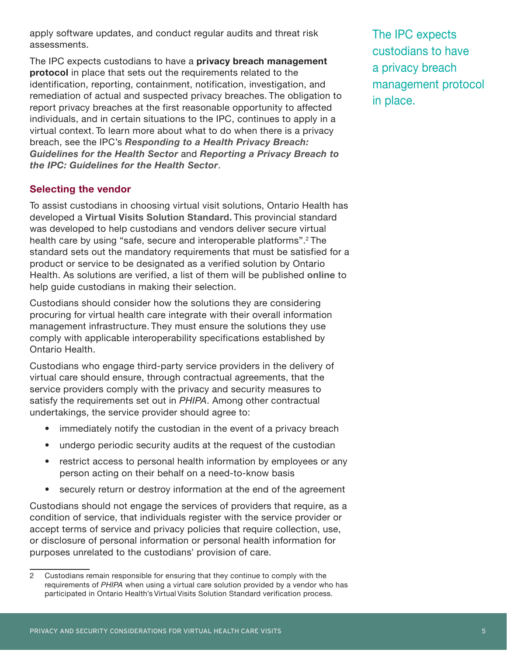apply software updates, and conduct regular audits and threat risk assessments.

The IPC expects custodians to have a **privacy breach management protocol** in place that sets out the requirements related to the identification, reporting, containment, notification, investigation, and remediation of actual and suspected privacy breaches. The obligation to report privacy breaches at the first reasonable opportunity to affected individuals, and in certain situations to the IPC, continues to apply in a virtual context. To learn more about what to do when there is a privacy breach, see the IPC's *[Responding to a Health Privacy Breach:](https://www.ipc.on.ca/wp-content/uploads/2018/10/health-privacy-breach-guidelines.pdf)  [Guidelines for the Health Sector](https://www.ipc.on.ca/wp-content/uploads/2018/10/health-privacy-breach-guidelines.pdf)* and *[Reporting a Privacy Breach to](https://www.ipc.on.ca/wp-content/uploads/2017/08/2019-health-privacy-breach-notification-guidelines.pdf)  [the IPC: Guidelines for the Health Sector](https://www.ipc.on.ca/wp-content/uploads/2017/08/2019-health-privacy-breach-notification-guidelines.pdf)*.

#### **Selecting the vendor**

To assist custodians in choosing virtual visit solutions, Ontario Health has developed a **[Virtual Visits Solution Standard](https://otn.ca/vendors/verification/).** This provincial standard was developed to help custodians and vendors deliver secure virtual health care by using "safe, secure and interoperable platforms".<sup>2</sup> The standard sets out the mandatory requirements that must be satisfied for a product or service to be designated as a verified solution by Ontario Health. As solutions are verified, a list of them will be published **[online](https://otn.ca/providers/verified-solutions/)** to help guide custodians in making their selection.

Custodians should consider how the solutions they are considering procuring for virtual health care integrate with their overall information management infrastructure. They must ensure the solutions they use comply with applicable interoperability specifications established by Ontario Health.

Custodians who engage third-party service providers in the delivery of virtual care should ensure, through contractual agreements, that the service providers comply with the privacy and security measures to satisfy the requirements set out in *PHIPA*. Among other contractual undertakings, the service provider should agree to:

- immediately notify the custodian in the event of a privacy breach
- undergo periodic security audits at the request of the custodian
- restrict access to personal health information by employees or any person acting on their behalf on a need-to-know basis
- securely return or destroy information at the end of the agreement

Custodians should not engage the services of providers that require, as a condition of service, that individuals register with the service provider or accept terms of service and privacy policies that require collection, use, or disclosure of personal information or personal health information for purposes unrelated to the custodians' provision of care.

The IPC expects custodians to have a privacy breach management protocol in place.

<sup>2</sup> Custodians remain responsible for ensuring that they continue to comply with the requirements of *PHIPA* when using a virtual care solution provided by a vendor who has participated in Ontario Health's Virtual Visits Solution Standard verification process.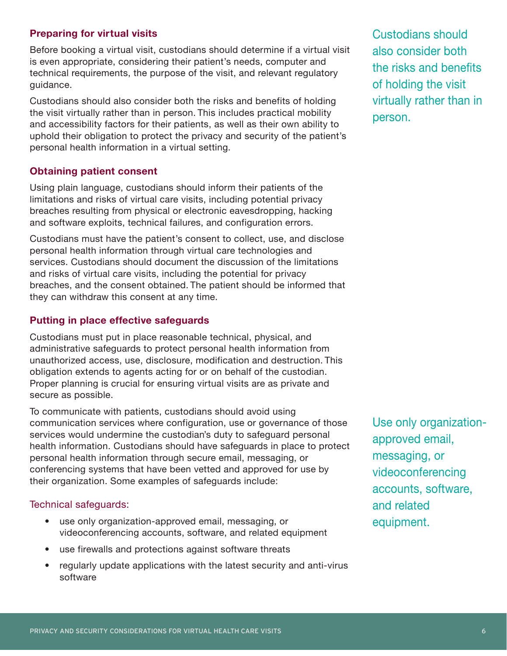#### **Preparing for virtual visits**

Before booking a virtual visit, custodians should determine if a virtual visit is even appropriate, considering their patient's needs, computer and technical requirements, the purpose of the visit, and relevant regulatory guidance.

Custodians should also consider both the risks and benefits of holding the visit virtually rather than in person. This includes practical mobility and accessibility factors for their patients, as well as their own ability to uphold their obligation to protect the privacy and security of the patient's personal health information in a virtual setting.

#### **Obtaining patient consent**

Using plain language, custodians should inform their patients of the limitations and risks of virtual care visits, including potential privacy breaches resulting from physical or electronic eavesdropping, hacking and software exploits, technical failures, and configuration errors.

Custodians must have the patient's consent to collect, use, and disclose personal health information through virtual care technologies and services. Custodians should document the discussion of the limitations and risks of virtual care visits, including the potential for privacy breaches, and the consent obtained. The patient should be informed that they can withdraw this consent at any time.

#### **Putting in place effective safeguards**

Custodians must put in place reasonable technical, physical, and administrative safeguards to protect personal health information from unauthorized access, use, disclosure, modification and destruction. This obligation extends to agents acting for or on behalf of the custodian. Proper planning is crucial for ensuring virtual visits are as private and secure as possible.

To communicate with patients, custodians should avoid using communication services where configuration, use or governance of those services would undermine the custodian's duty to safeguard personal health information. Custodians should have safeguards in place to protect personal health information through secure email, messaging, or conferencing systems that have been vetted and approved for use by their organization. Some examples of safeguards include:

#### Technical safeguards:

- use only organization-approved email, messaging, or videoconferencing accounts, software, and related equipment
- use firewalls and protections against software threats
- regularly update applications with the latest security and anti-virus software

Custodians should also consider both the risks and benefits of holding the visit virtually rather than in person.

Use only organizationapproved email, messaging, or videoconferencing accounts, software, and related equipment.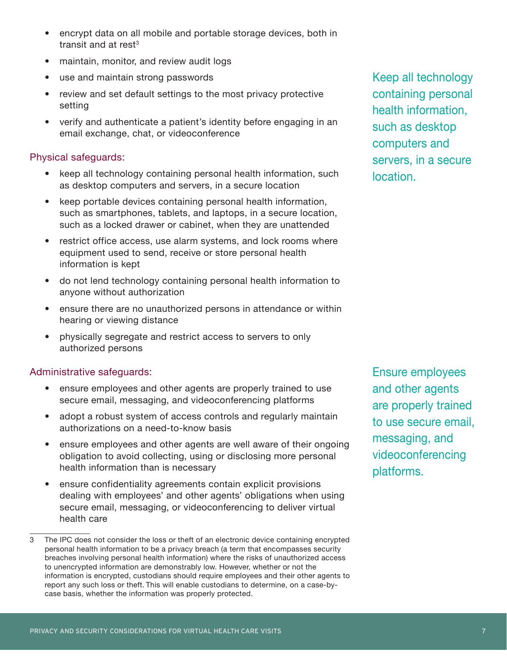- encrypt data on all mobile and portable storage devices, both in transit and at rest $3$
- maintain, monitor, and review audit logs
- use and maintain strong passwords
- review and set default settings to the most privacy protective setting
- verify and authenticate a patient's identity before engaging in an email exchange, chat, or videoconference

#### Physical safeguards:

- keep all technology containing personal health information, such as desktop computers and servers, in a secure location
- keep portable devices containing personal health information, such as smartphones, tablets, and laptops, in a secure location, such as a locked drawer or cabinet, when they are unattended
- restrict office access, use alarm systems, and lock rooms where equipment used to send, receive or store personal health information is kept
- do not lend technology containing personal health information to anyone without authorization
- ensure there are no unauthorized persons in attendance or within hearing or viewing distance
- physically segregate and restrict access to servers to only authorized persons

#### Administrative safeguards:

- ensure employees and other agents are properly trained to use secure email, messaging, and videoconferencing platforms
- adopt a robust system of access controls and regularly maintain authorizations on a need-to-know basis
- ensure employees and other agents are well aware of their ongoing obligation to avoid collecting, using or disclosing more personal health information than is necessary
- ensure confidentiality agreements contain explicit provisions dealing with employees' and other agents' obligations when using secure email, messaging, or videoconferencing to deliver virtual health care

Keep all technology containing personal health information, such as desktop computers and servers, in a secure location.

Ensure employees and other agents are properly trained to use secure email, messaging, and videoconferencing platforms.

The IPC does not consider the loss or theft of an electronic device containing encrypted personal health information to be a privacy breach (a term that encompasses security breaches involving personal health information) where the risks of unauthorized access to unencrypted information are demonstrably low. However, whether or not the information is encrypted, custodians should require employees and their other agents to report any such loss or theft. This will enable custodians to determine, on a case-bycase basis, whether the information was properly protected.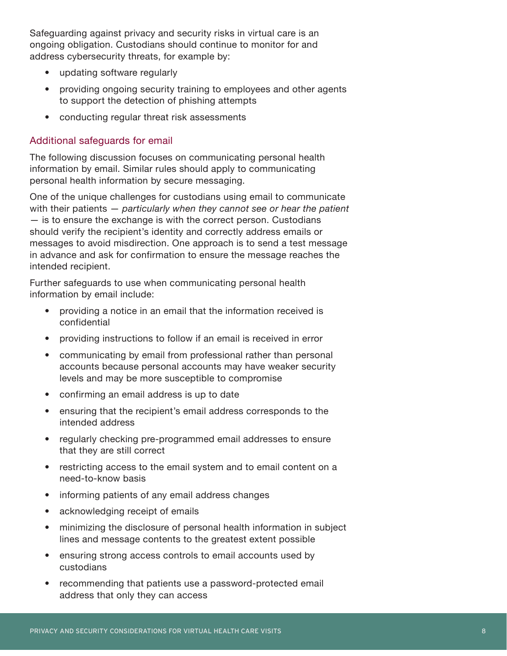Safeguarding against privacy and security risks in virtual care is an ongoing obligation. Custodians should continue to monitor for and address cybersecurity threats, for example by:

- updating software regularly
- providing ongoing security training to employees and other agents to support the detection of phishing attempts
- conducting regular threat risk assessments

#### Additional safeguards for email

The following discussion focuses on communicating personal health information by email. Similar rules should apply to communicating personal health information by secure messaging.

One of the unique challenges for custodians using email to communicate with their patients — *particularly when they cannot see or hear the patient* — is to ensure the exchange is with the correct person. Custodians should verify the recipient's identity and correctly address emails or messages to avoid misdirection. One approach is to send a test message in advance and ask for confirmation to ensure the message reaches the intended recipient.

Further safeguards to use when communicating personal health information by email include:

- providing a notice in an email that the information received is confidential
- providing instructions to follow if an email is received in error
- communicating by email from professional rather than personal accounts because personal accounts may have weaker security levels and may be more susceptible to compromise
- confirming an email address is up to date
- ensuring that the recipient's email address corresponds to the intended address
- regularly checking pre-programmed email addresses to ensure that they are still correct
- restricting access to the email system and to email content on a need-to-know basis
- informing patients of any email address changes
- acknowledging receipt of emails
- minimizing the disclosure of personal health information in subject lines and message contents to the greatest extent possible
- ensuring strong access controls to email accounts used by custodians
- recommending that patients use a password-protected email address that only they can access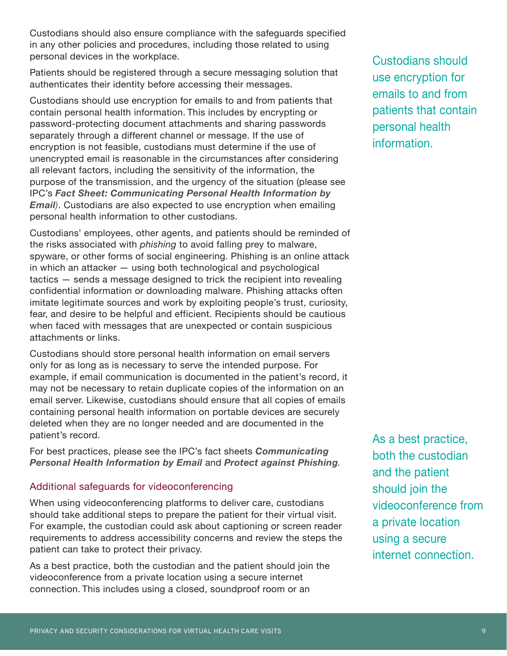Custodians should also ensure compliance with the safeguards specified in any other policies and procedures, including those related to using personal devices in the workplace.

Patients should be registered through a secure messaging solution that authenticates their identity before accessing their messages.

Custodians should use encryption for emails to and from patients that contain personal health information. This includes by encrypting or password-protecting document attachments and sharing passwords separately through a different channel or message. If the use of encryption is not feasible, custodians must determine if the use of unencrypted email is reasonable in the circumstances after considering all relevant factors, including the sensitivity of the information, the purpose of the transmission, and the urgency of the situation (please see IPC's *[Fact Sheet: Communicating Personal Health Information by](https://www.ipc.on.ca/wp-content/uploads/2016/09/Health-Fact-Sheet-Communicating-PHI-by-Email-FINAL.pdf)  [Email](https://www.ipc.on.ca/wp-content/uploads/2016/09/Health-Fact-Sheet-Communicating-PHI-by-Email-FINAL.pdf))*. Custodians are also expected to use encryption when emailing personal health information to other custodians.

Custodians' employees, other agents, and patients should be reminded of the risks associated with *phishing* to avoid falling prey to malware, spyware, or other forms of social engineering. Phishing is an online attack in which an attacker — using both technological and psychological tactics — sends a message designed to trick the recipient into revealing confidential information or downloading malware. Phishing attacks often imitate legitimate sources and work by exploiting people's trust, curiosity, fear, and desire to be helpful and efficient. Recipients should be cautious when faced with messages that are unexpected or contain suspicious attachments or links.

Custodians should store personal health information on email servers only for as long as is necessary to serve the intended purpose. For example, if email communication is documented in the patient's record, it may not be necessary to retain duplicate copies of the information on an email server. Likewise, custodians should ensure that all copies of emails containing personal health information on portable devices are securely deleted when they are no longer needed and are documented in the patient's record.

For best practices, please see the IPC's fact sheets *[Communicating](https://www.ipc.on.ca/wp-content/uploads/2016/09/Health-Fact-Sheet-Communicating-PHI-by-Email-FINAL.pdf)  [Personal Health Information by Email](https://www.ipc.on.ca/wp-content/uploads/2016/09/Health-Fact-Sheet-Communicating-PHI-by-Email-FINAL.pdf)* and *[Protect against Phishing](https://www.ipc.on.ca/wp-content/uploads/2019/07/fs-tech-protect-against-phishing-e.pdf).*

#### Additional safeguards for videoconferencing

When using videoconferencing platforms to deliver care, custodians should take additional steps to prepare the patient for their virtual visit. For example, the custodian could ask about captioning or screen reader requirements to address accessibility concerns and review the steps the patient can take to protect their privacy.

As a best practice, both the custodian and the patient should join the videoconference from a private location using a secure internet connection. This includes using a closed, soundproof room or an

Custodians should use encryption for emails to and from patients that contain personal health information.

As a best practice, both the custodian and the patient should join the videoconference from a private location using a secure internet connection.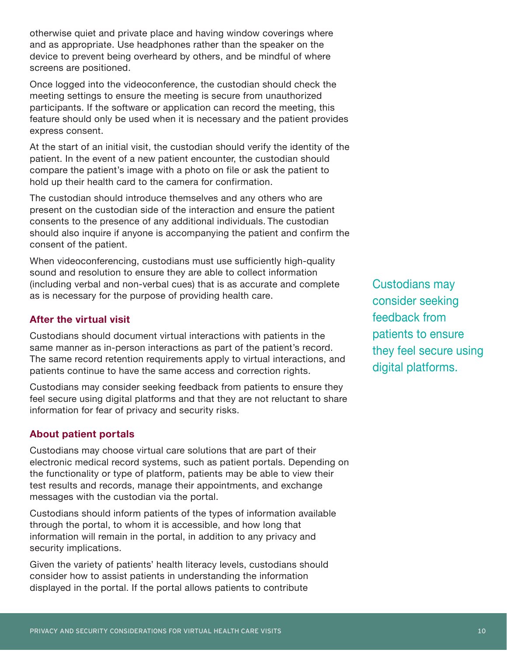otherwise quiet and private place and having window coverings where and as appropriate. Use headphones rather than the speaker on the device to prevent being overheard by others, and be mindful of where screens are positioned.

Once logged into the videoconference, the custodian should check the meeting settings to ensure the meeting is secure from unauthorized participants. If the software or application can record the meeting, this feature should only be used when it is necessary and the patient provides express consent.

At the start of an initial visit, the custodian should verify the identity of the patient. In the event of a new patient encounter, the custodian should compare the patient's image with a photo on file or ask the patient to hold up their health card to the camera for confirmation.

The custodian should introduce themselves and any others who are present on the custodian side of the interaction and ensure the patient consents to the presence of any additional individuals. The custodian should also inquire if anyone is accompanying the patient and confirm the consent of the patient.

When videoconferencing, custodians must use sufficiently high-quality sound and resolution to ensure they are able to collect information (including verbal and non-verbal cues) that is as accurate and complete as is necessary for the purpose of providing health care.

#### **After the virtual visit**

Custodians should document virtual interactions with patients in the same manner as in-person interactions as part of the patient's record. The same record retention requirements apply to virtual interactions, and patients continue to have the same access and correction rights.

Custodians may consider seeking feedback from patients to ensure they feel secure using digital platforms and that they are not reluctant to share information for fear of privacy and security risks.

#### **About patient portals**

Custodians may choose virtual care solutions that are part of their electronic medical record systems, such as patient portals. Depending on the functionality or type of platform, patients may be able to view their test results and records, manage their appointments, and exchange messages with the custodian via the portal.

Custodians should inform patients of the types of information available through the portal, to whom it is accessible, and how long that information will remain in the portal, in addition to any privacy and security implications.

Given the variety of patients' health literacy levels, custodians should consider how to assist patients in understanding the information displayed in the portal. If the portal allows patients to contribute

Custodians may consider seeking feedback from patients to ensure they feel secure using digital platforms.